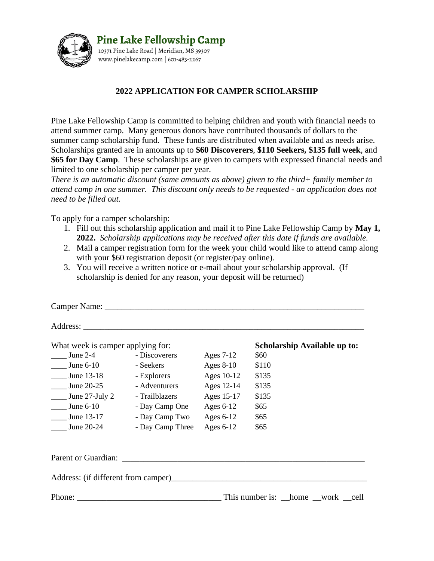

## **2022 APPLICATION FOR CAMPER SCHOLARSHIP**

Pine Lake Fellowship Camp is committed to helping children and youth with financial needs to attend summer camp. Many generous donors have contributed thousands of dollars to the summer camp scholarship fund. These funds are distributed when available and as needs arise. Scholarships granted are in amounts up to **\$60 Discoverers**, **\$110 Seekers, \$135 full week**, and **\$65 for Day Camp**. These scholarships are given to campers with expressed financial needs and limited to one scholarship per camper per year.

*There is an automatic discount (same amounts as above) given to the third+ family member to attend camp in one summer. This discount only needs to be requested - an application does not need to be filled out.*

To apply for a camper scholarship:

- 1. Fill out this scholarship application and mail it to Pine Lake Fellowship Camp by **May 1, 2022.** *Scholarship applications may be received after this date if funds are available.*
- 2. Mail a camper registration form for the week your child would like to attend camp along with your \$60 registration deposit (or register/pay online).
- 3. You will receive a written notice or e-mail about your scholarship approval. (If scholarship is denied for any reason, your deposit will be returned)

| What week is camper applying for:             |                                | Scholarship Available up to: |       |  |  |
|-----------------------------------------------|--------------------------------|------------------------------|-------|--|--|
| June $2-4$                                    | - Discoverers                  | Ages 7-12                    | \$60  |  |  |
| $\frac{\text{June } 6-10}{\text{June } 6-10}$ | - Seekers                      | Ages $8-10$                  | \$110 |  |  |
| $\frac{\text{June }13-18}{}$                  | - Explorers                    | Ages 10-12                   | \$135 |  |  |
| $\frac{\text{June } 20-25}{}$                 | - Adventurers                  | Ages 12-14                   | \$135 |  |  |
| $\frac{1}{2}$ June 27-July 2                  | - Trailblazers                 | Ages 15-17                   | \$135 |  |  |
| $\frac{\text{June } 6-10}{\text{June } 6-10}$ | - Day Camp One                 | Ages $6-12$                  | \$65  |  |  |
| June 13-17                                    | - Day Camp Two                 | Ages $6-12$                  | \$65  |  |  |
| June 20-24                                    | - Day Camp Three               | Ages $6-12$                  | \$65  |  |  |
|                                               |                                |                              |       |  |  |
|                                               |                                |                              |       |  |  |
|                                               | This number is: home work cell |                              |       |  |  |